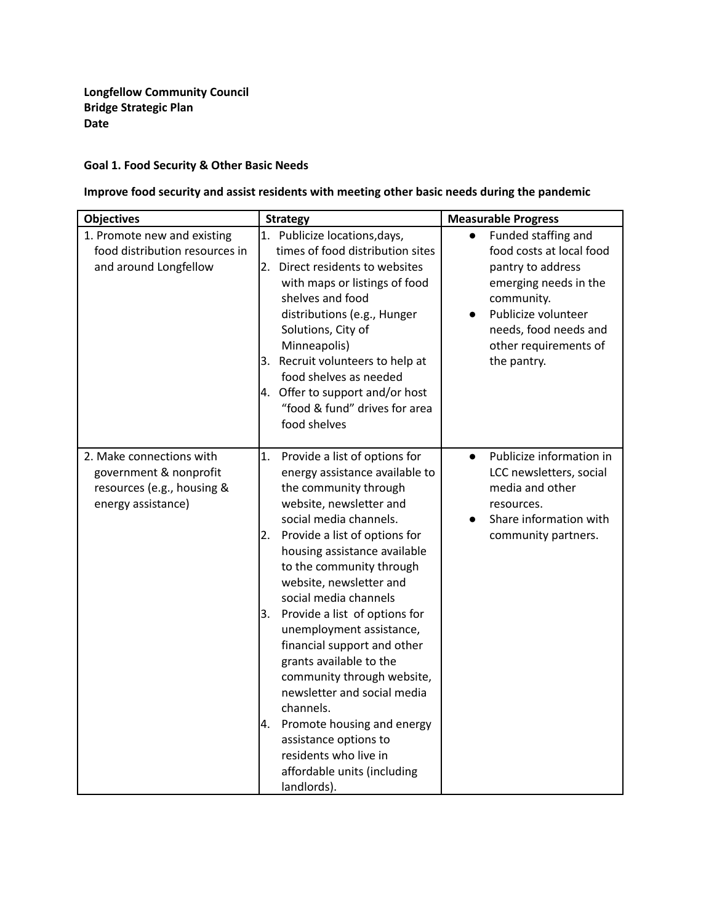## **Goal 1. Food Security & Other Basic Needs**

## **Improve food security and assist residents with meeting other basic needs during the pandemic**

| <b>Objectives</b>                                                                                      | <b>Strategy</b>                                                                                                                                                                                                                                                                                                                                                                  | <b>Measurable Progress</b>                                                                                                                                                                          |  |  |
|--------------------------------------------------------------------------------------------------------|----------------------------------------------------------------------------------------------------------------------------------------------------------------------------------------------------------------------------------------------------------------------------------------------------------------------------------------------------------------------------------|-----------------------------------------------------------------------------------------------------------------------------------------------------------------------------------------------------|--|--|
| 1. Promote new and existing<br>food distribution resources in<br>and around Longfellow                 | 1. Publicize locations, days,<br>times of food distribution sites<br>2. Direct residents to websites<br>with maps or listings of food<br>shelves and food<br>distributions (e.g., Hunger<br>Solutions, City of<br>Minneapolis)<br>3. Recruit volunteers to help at<br>food shelves as needed<br>4. Offer to support and/or host<br>"food & fund" drives for area<br>food shelves | Funded staffing and<br>food costs at local food<br>pantry to address<br>emerging needs in the<br>community.<br>Publicize volunteer<br>needs, food needs and<br>other requirements of<br>the pantry. |  |  |
| 2. Make connections with<br>government & nonprofit<br>resources (e.g., housing &<br>energy assistance) | Provide a list of options for<br>1.<br>energy assistance available to<br>the community through<br>website, newsletter and<br>social media channels.<br>Provide a list of options for<br>2.<br>housing assistance available<br>to the community through<br>website, newsletter and<br>social media channels                                                                       | Publicize information in<br>$\bullet$<br>LCC newsletters, social<br>media and other<br>resources.<br>Share information with<br>community partners.                                                  |  |  |
|                                                                                                        | Provide a list of options for<br>3.<br>unemployment assistance,<br>financial support and other<br>grants available to the<br>community through website,<br>newsletter and social media<br>channels.                                                                                                                                                                              |                                                                                                                                                                                                     |  |  |
|                                                                                                        | Promote housing and energy<br>l4.<br>assistance options to<br>residents who live in<br>affordable units (including<br>landlords).                                                                                                                                                                                                                                                |                                                                                                                                                                                                     |  |  |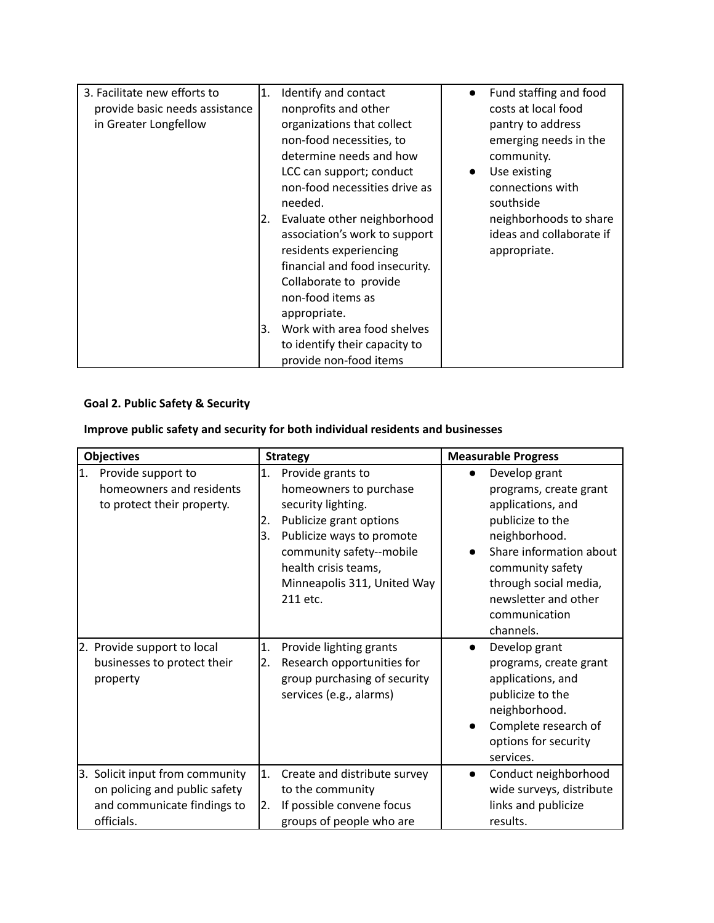| 3. Facilitate new efforts to   | 1.  | Identify and contact           | $\bullet$ | Fund staffing and food   |
|--------------------------------|-----|--------------------------------|-----------|--------------------------|
| provide basic needs assistance |     | nonprofits and other           |           | costs at local food      |
| in Greater Longfellow          |     | organizations that collect     |           | pantry to address        |
|                                |     | non-food necessities, to       |           | emerging needs in the    |
|                                |     | determine needs and how        |           | community.               |
|                                |     | LCC can support; conduct       |           | Use existing             |
|                                |     | non-food necessities drive as  |           | connections with         |
|                                |     | needed.                        |           | southside                |
|                                | I2. | Evaluate other neighborhood    |           | neighborhoods to share   |
|                                |     | association's work to support  |           | ideas and collaborate if |
|                                |     | residents experiencing         |           | appropriate.             |
|                                |     | financial and food insecurity. |           |                          |
|                                |     | Collaborate to provide         |           |                          |
|                                |     | non-food items as              |           |                          |
|                                |     | appropriate.                   |           |                          |
|                                | l3. | Work with area food shelves    |           |                          |
|                                |     | to identify their capacity to  |           |                          |
|                                |     | provide non-food items         |           |                          |

## **Goal 2. Public Safety & Security**

| Improve public safety and security for both individual residents and businesses |  |  |  |
|---------------------------------------------------------------------------------|--|--|--|
|---------------------------------------------------------------------------------|--|--|--|

| <b>Objectives</b>                                                                                                | <b>Strategy</b>                                                                                                                                                                                                                            | <b>Measurable Progress</b>                                                                                                                                                                                                      |  |
|------------------------------------------------------------------------------------------------------------------|--------------------------------------------------------------------------------------------------------------------------------------------------------------------------------------------------------------------------------------------|---------------------------------------------------------------------------------------------------------------------------------------------------------------------------------------------------------------------------------|--|
| 1.<br>Provide support to<br>homeowners and residents<br>to protect their property.                               | 1.<br>Provide grants to<br>homeowners to purchase<br>security lighting.<br>Publicize grant options<br>2.<br>3.<br>Publicize ways to promote<br>community safety--mobile<br>health crisis teams,<br>Minneapolis 311, United Way<br>211 etc. | Develop grant<br>programs, create grant<br>applications, and<br>publicize to the<br>neighborhood.<br>Share information about<br>community safety<br>through social media,<br>newsletter and other<br>communication<br>channels. |  |
| 2. Provide support to local<br>businesses to protect their<br>property                                           | Provide lighting grants<br>1.<br>Research opportunities for<br>2.<br>group purchasing of security<br>services (e.g., alarms)                                                                                                               | Develop grant<br>$\bullet$<br>programs, create grant<br>applications, and<br>publicize to the<br>neighborhood.<br>Complete research of<br>options for security<br>services.                                                     |  |
| Solicit input from community<br>3.<br>on policing and public safety<br>and communicate findings to<br>officials. | 1.<br>Create and distribute survey<br>to the community<br>If possible convene focus<br>12.<br>groups of people who are                                                                                                                     | Conduct neighborhood<br>$\bullet$<br>wide surveys, distribute<br>links and publicize<br>results.                                                                                                                                |  |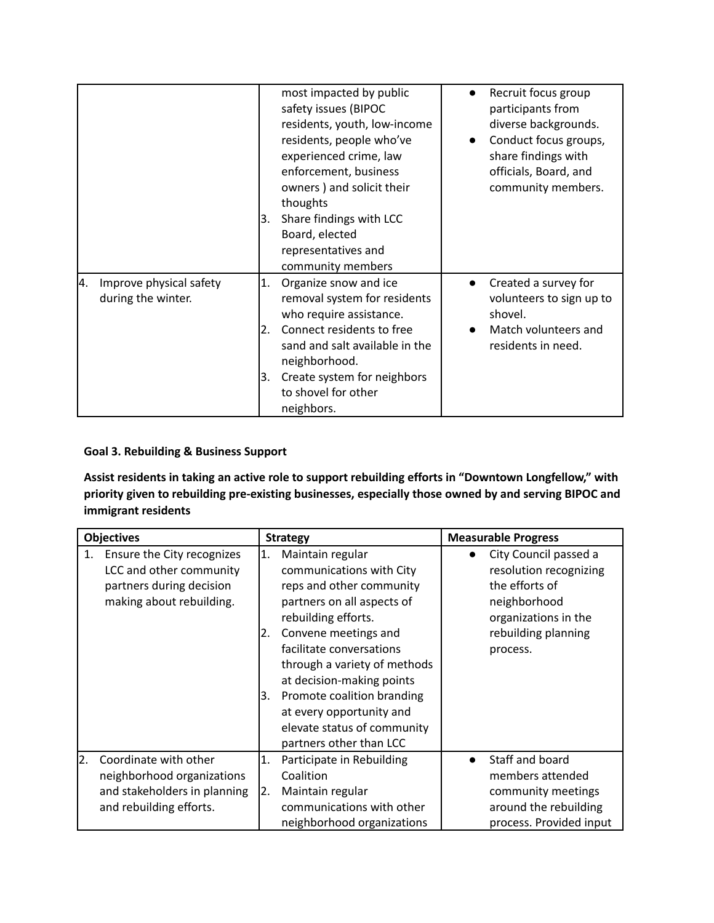|                                                     | most impacted by public<br>safety issues (BIPOC<br>residents, youth, low-income<br>residents, people who've<br>experienced crime, law<br>enforcement, business<br>owners) and solicit their<br>thoughts<br>Share findings with LCC<br>l3.<br>Board, elected<br>representatives and<br>community members | Recruit focus group<br>participants from<br>diverse backgrounds.<br>Conduct focus groups,<br>share findings with<br>officials, Board, and<br>community members. |
|-----------------------------------------------------|---------------------------------------------------------------------------------------------------------------------------------------------------------------------------------------------------------------------------------------------------------------------------------------------------------|-----------------------------------------------------------------------------------------------------------------------------------------------------------------|
| 4.<br>Improve physical safety<br>during the winter. | Organize snow and ice<br>1.<br>removal system for residents<br>who require assistance.<br>Connect residents to free<br>2.<br>sand and salt available in the<br>neighborhood.<br>Create system for neighbors<br>l3.<br>to shovel for other<br>neighbors.                                                 | Created a survey for<br>volunteers to sign up to<br>shovel.<br>Match volunteers and<br>residents in need.                                                       |

## **Goal 3. Rebuilding & Business Support**

**Assist residents in taking an active role to support rebuilding efforts in "Downtown Longfellow," with priority given to rebuilding pre-existing businesses, especially those owned by and serving BIPOC and immigrant residents**

| <b>Objectives</b> |                                                                                                                | <b>Strategy</b>        |                                                                                                                                                                                                                                                                                                                                                                    | <b>Measurable Progress</b> |                                                                                                                                              |
|-------------------|----------------------------------------------------------------------------------------------------------------|------------------------|--------------------------------------------------------------------------------------------------------------------------------------------------------------------------------------------------------------------------------------------------------------------------------------------------------------------------------------------------------------------|----------------------------|----------------------------------------------------------------------------------------------------------------------------------------------|
| 1.                | Ensure the City recognizes<br>LCC and other community<br>partners during decision<br>making about rebuilding.  | 1.<br>2.<br>3.         | Maintain regular<br>communications with City<br>reps and other community<br>partners on all aspects of<br>rebuilding efforts.<br>Convene meetings and<br>facilitate conversations<br>through a variety of methods<br>at decision-making points<br>Promote coalition branding<br>at every opportunity and<br>elevate status of community<br>partners other than LCC |                            | City Council passed a<br>resolution recognizing<br>the efforts of<br>neighborhood<br>organizations in the<br>rebuilding planning<br>process. |
| 2.                | Coordinate with other<br>neighborhood organizations<br>and stakeholders in planning<br>and rebuilding efforts. | $\vert 1. \vert$<br>2. | Participate in Rebuilding<br>Coalition<br>Maintain regular<br>communications with other<br>neighborhood organizations                                                                                                                                                                                                                                              |                            | Staff and board<br>members attended<br>community meetings<br>around the rebuilding<br>process. Provided input                                |